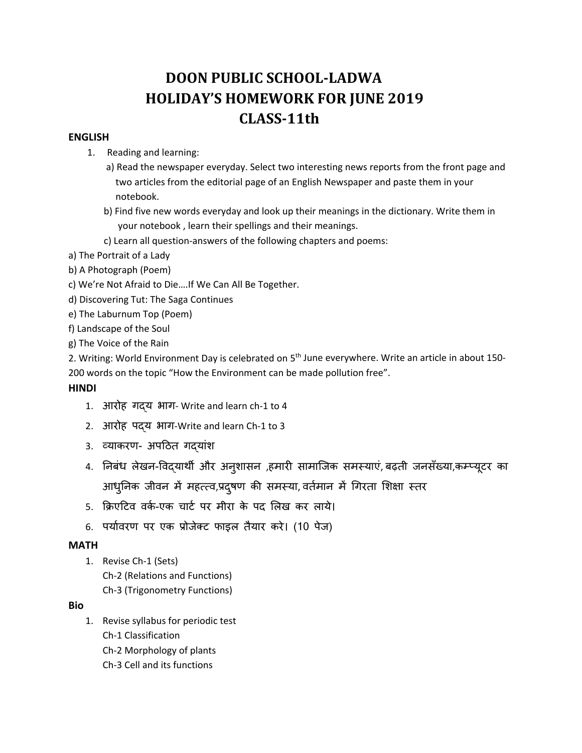# **DOON PUBLIC SCHOOL‐LADWA HOLIDAY'S HOMEWORK FOR JUNE 2019 CLASS–11th**

#### **ENGLISH**

- 1. Reading and learning:
	- a) Read the newspaper everyday. Select two interesting news reports from the front page and two articles from the editorial page of an English Newspaper and paste them in your notebook.
	- b) Find five new words everyday and look up their meanings in the dictionary. Write them in your notebook , learn their spellings and their meanings.
	- c) Learn all question‐answers of the following chapters and poems:
- a) The Portrait of a Lady
- b) A Photograph (Poem)
- c) We're Not Afraid to Die….If We Can All Be Together.
- d) Discovering Tut: The Saga Continues
- e) The Laburnum Top (Poem)
- f) Landscape of the Soul
- g) The Voice of the Rain

2. Writing: World Environment Day is celebrated on 5<sup>th</sup> June everywhere. Write an article in about 150-200 words on the topic "How the Environment can be made pollution free".

#### **HINDI**

- 1. आरोह गदय भाग- Write and learn ch-1 to 4
- 2. आरोह पɮय भाग‐Write and learn Ch‐1 to 3
- 3. व्याकरण- अपठित गदयांश
- 4. निबंध लेखन-विद्यार्थी और अनुशासन ,हमारी सामाजिक समस्याए, बढ़ती जनसंख्या,कम्प्यूटर का आधुनिक जीवन में महत्त्व,प्रदुषण की समस्या, वर्तमान में गिरता शिक्षा स्तर
- 5. क्रिएटिव वर्क-एक चार्ट पर मीरा के पद लिख कर लाये।
- 6. पयार्वरण पर एक प्रोजेक्ट फाइल तैयार करे। (10 पेज)

#### **MATH**

1. Revise Ch‐1 (Sets) Ch‐2 (Relations and Functions) Ch‐3 (Trigonometry Functions)

#### **Bio**

1. Revise syllabus for periodic test Ch‐1 Classification Ch‐2 Morphology of plants Ch‐3 Cell and its functions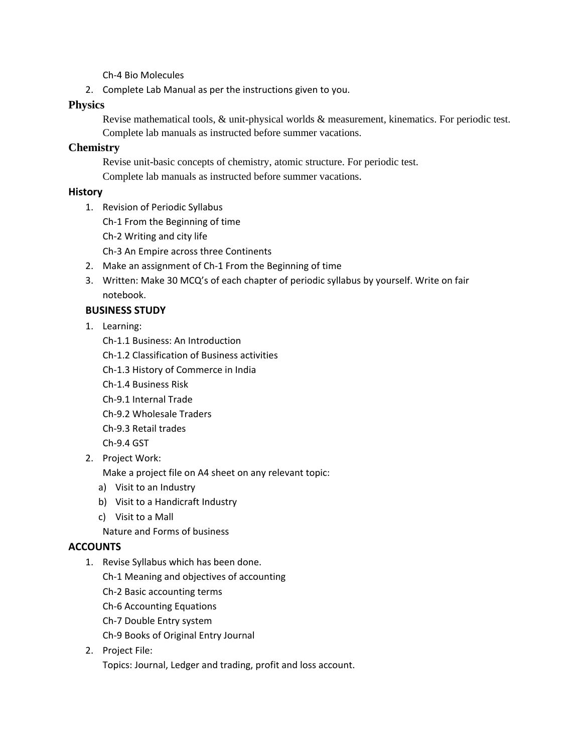Ch‐4 Bio Molecules

2. Complete Lab Manual as per the instructions given to you.

## **Physics**

Revise mathematical tools, & unit-physical worlds & measurement, kinematics. For periodic test. Complete lab manuals as instructed before summer vacations.

## **Chemistry**

Revise unit-basic concepts of chemistry, atomic structure. For periodic test. Complete lab manuals as instructed before summer vacations.

## **History**

- 1. Revision of Periodic Syllabus
	- Ch‐1 From the Beginning of time
	- Ch‐2 Writing and city life

Ch‐3 An Empire across three Continents

- 2. Make an assignment of Ch‐1 From the Beginning of time
- 3. Written: Make 30 MCQ's of each chapter of periodic syllabus by yourself. Write on fair notebook.

## **BUSINESS STUDY**

- 1. Learning:
	- Ch‐1.1 Business: An Introduction
	- Ch‐1.2 Classification of Business activities
	- Ch‐1.3 History of Commerce in India
	- Ch‐1.4 Business Risk
	- Ch‐9.1 Internal Trade
	- Ch‐9.2 Wholesale Traders
	- Ch‐9.3 Retail trades
	- Ch‐9.4 GST
- 2. Project Work:

Make a project file on A4 sheet on any relevant topic:

- a) Visit to an Industry
- b) Visit to a Handicraft Industry
- c) Visit to a Mall
- Nature and Forms of business

## **ACCOUNTS**

- 1. Revise Syllabus which has been done.
	- Ch‐1 Meaning and objectives of accounting
	- Ch‐2 Basic accounting terms
	- Ch‐6 Accounting Equations
	- Ch‐7 Double Entry system
	- Ch‐9 Books of Original Entry Journal
- 2. Project File: Topics: Journal, Ledger and trading, profit and loss account.